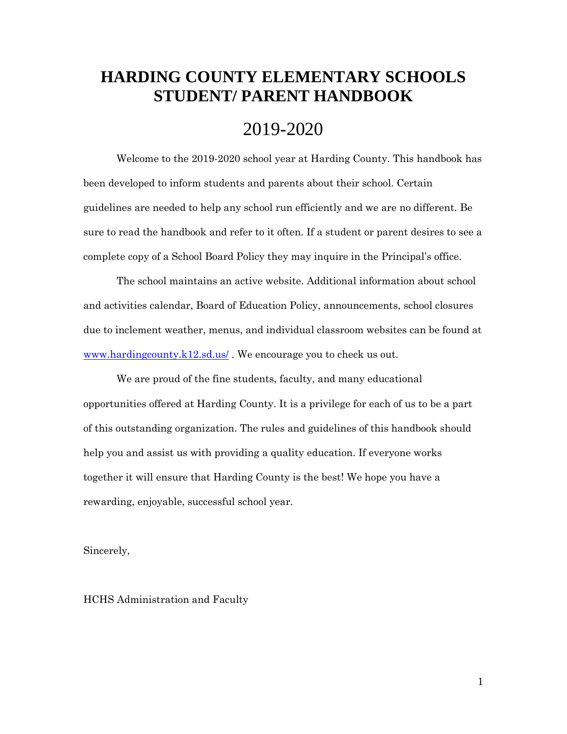# **HARDING COUNTY ELEMENTARY SCHOOLS STUDENT/ PARENT HANDBOOK**

# 2019-2020

Welcome to the 2019-2020 school year at Harding County. This handbook has been developed to inform students and parents about their school. Certain guidelines are needed to help any school run efficiently and we are no different. Be sure to read the handbook and refer to it often. If a student or parent desires to see a complete copy of a School Board Policy they may inquire in the Principal's office.

The school maintains an active website. Additional information about school and activities calendar, Board of Education Policy, announcements, school closures due to inclement weather, menus, and individual classroom websites can be found at [www.hardingcounty.k12.sd.us/](http://www.hardingcounty.k12.sd.us/) . We encourage you to check us out.

We are proud of the fine students, faculty, and many educational opportunities offered at Harding County. It is a privilege for each of us to be a part of this outstanding organization. The rules and guidelines of this handbook should help you and assist us with providing a quality education. If everyone works together it will ensure that Harding County is the best! We hope you have a rewarding, enjoyable, successful school year.

Sincerely,

HCHS Administration and Faculty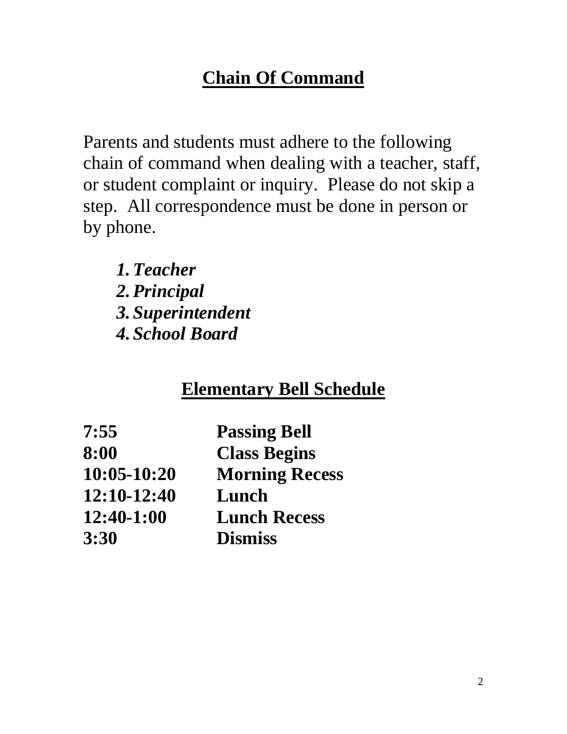# **Chain Of Command**

Parents and students must adhere to the following chain of command when dealing with a teacher, staff, or student complaint or inquiry. Please do not skip a step. All correspondence must be done in person or by phone.

*1.Teacher 2.Principal 3. Superintendent 4. School Board*

# **Elementary Bell Schedule**

| 7:55          | <b>Passing Bell</b>   |
|---------------|-----------------------|
| 8:00          | <b>Class Begins</b>   |
| $10:05-10:20$ | <b>Morning Recess</b> |
| 12:10-12:40   | Lunch                 |
| 12:40-1:00    | <b>Lunch Recess</b>   |
| 3:30          | <b>Dismiss</b>        |
|               |                       |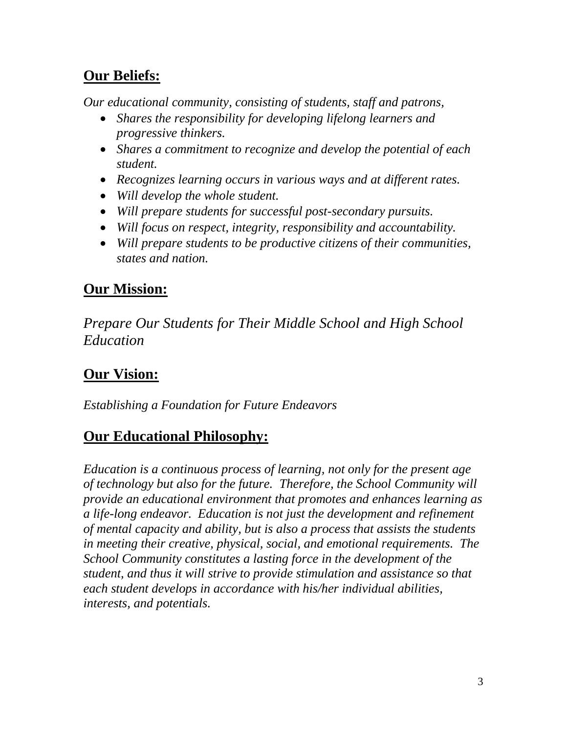# **Our Beliefs:**

*Our educational community, consisting of students, staff and patrons,*

- *Shares the responsibility for developing lifelong learners and progressive thinkers.*
- *Shares a commitment to recognize and develop the potential of each student.*
- *Recognizes learning occurs in various ways and at different rates.*
- *Will develop the whole student.*
- *Will prepare students for successful post-secondary pursuits.*
- *Will focus on respect, integrity, responsibility and accountability.*
- *Will prepare students to be productive citizens of their communities, states and nation.*

# **Our Mission:**

*Prepare Our Students for Their Middle School and High School Education*

# **Our Vision:**

*Establishing a Foundation for Future Endeavors* 

# **Our Educational Philosophy:**

*Education is a continuous process of learning, not only for the present age of technology but also for the future. Therefore, the School Community will provide an educational environment that promotes and enhances learning as a life-long endeavor. Education is not just the development and refinement of mental capacity and ability, but is also a process that assists the students in meeting their creative, physical, social, and emotional requirements. The School Community constitutes a lasting force in the development of the student, and thus it will strive to provide stimulation and assistance so that each student develops in accordance with his/her individual abilities, interests, and potentials.*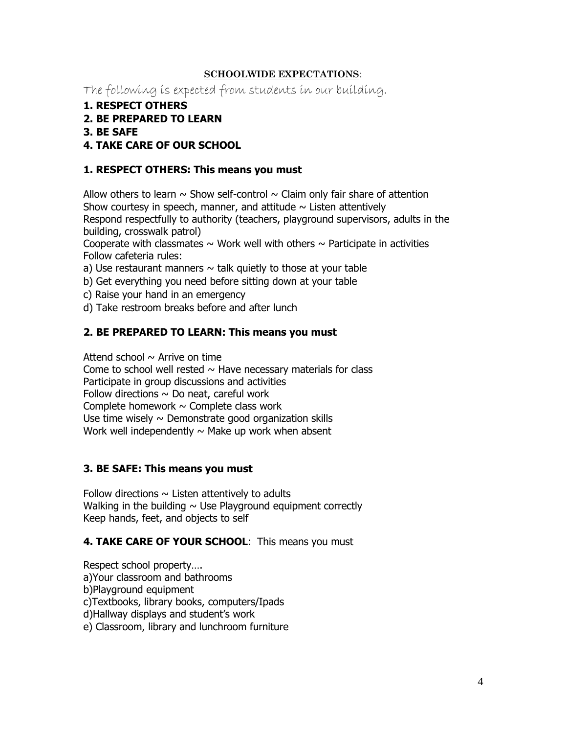# **SCHOOLWIDE EXPECTATIONS**:

The following is expected from students in our building.

- **1. RESPECT OTHERS**
- **2. BE PREPARED TO LEARN**
- **3. BE SAFE**

# **4. TAKE CARE OF OUR SCHOOL**

# **1. RESPECT OTHERS: This means you must**

Allow others to learn  $\sim$  Show self-control  $\sim$  Claim only fair share of attention Show courtesy in speech, manner, and attitude  $\sim$  Listen attentively Respond respectfully to authority (teachers, playground supervisors, adults in the building, crosswalk patrol)

Cooperate with classmates  $\sim$  Work well with others  $\sim$  Participate in activities Follow cafeteria rules:

- a) Use restaurant manners  $\sim$  talk quietly to those at your table
- b) Get everything you need before sitting down at your table
- c) Raise your hand in an emergency
- d) Take restroom breaks before and after lunch

# **2. BE PREPARED TO LEARN: This means you must**

Attend school  $\sim$  Arrive on time

Come to school well rested  $\sim$  Have necessary materials for class Participate in group discussions and activities Follow directions  $\sim$  Do neat, careful work Complete homework  $\sim$  Complete class work Use time wisely  $\sim$  Demonstrate good organization skills Work well independently  $\sim$  Make up work when absent

# **3. BE SAFE: This means you must**

Follow directions  $\sim$  Listen attentively to adults Walking in the building  $\sim$  Use Playground equipment correctly Keep hands, feet, and objects to self

# **4. TAKE CARE OF YOUR SCHOOL**: This means you must

Respect school property…. a)Your classroom and bathrooms b)Playground equipment c)Textbooks, library books, computers/Ipads d)Hallway displays and student's work e) Classroom, library and lunchroom furniture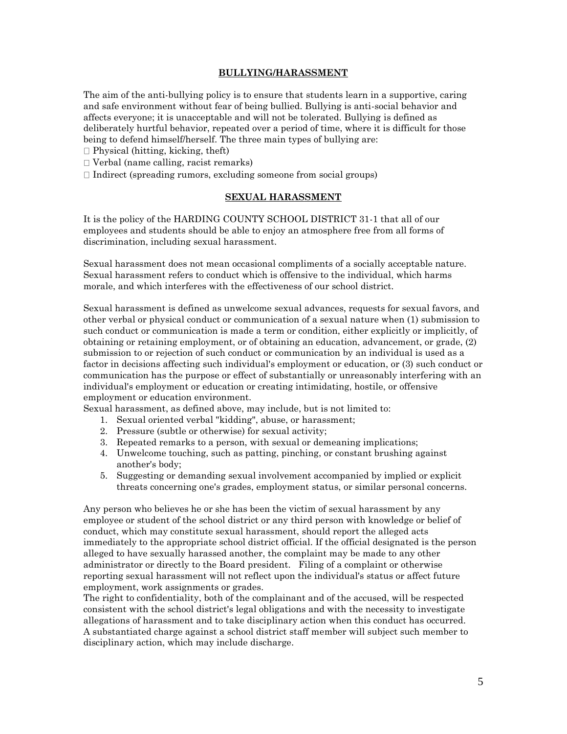#### **BULLYING/HARASSMENT**

The aim of the anti-bullying policy is to ensure that students learn in a supportive, caring and safe environment without fear of being bullied. Bullying is anti-social behavior and affects everyone; it is unacceptable and will not be tolerated. Bullying is defined as deliberately hurtful behavior, repeated over a period of time, where it is difficult for those being to defend himself/herself. The three main types of bullying are:

- $\Box$  Physical (hitting, kicking, theft)
- Verbal (name calling, racist remarks)
- $\Box$  Indirect (spreading rumors, excluding someone from social groups)

#### **SEXUAL HARASSMENT**

It is the policy of the HARDING COUNTY SCHOOL DISTRICT 31-1 that all of our employees and students should be able to enjoy an atmosphere free from all forms of discrimination, including sexual harassment.

Sexual harassment does not mean occasional compliments of a socially acceptable nature. Sexual harassment refers to conduct which is offensive to the individual, which harms morale, and which interferes with the effectiveness of our school district.

Sexual harassment is defined as unwelcome sexual advances, requests for sexual favors, and other verbal or physical conduct or communication of a sexual nature when (1) submission to such conduct or communication is made a term or condition, either explicitly or implicitly, of obtaining or retaining employment, or of obtaining an education, advancement, or grade, (2) submission to or rejection of such conduct or communication by an individual is used as a factor in decisions affecting such individual's employment or education, or (3) such conduct or communication has the purpose or effect of substantially or unreasonably interfering with an individual's employment or education or creating intimidating, hostile, or offensive employment or education environment.

Sexual harassment, as defined above, may include, but is not limited to:

- 1. Sexual oriented verbal "kidding", abuse, or harassment;
- 2. Pressure (subtle or otherwise) for sexual activity;
- 3. Repeated remarks to a person, with sexual or demeaning implications;
- 4. Unwelcome touching, such as patting, pinching, or constant brushing against another's body;
- 5. Suggesting or demanding sexual involvement accompanied by implied or explicit threats concerning one's grades, employment status, or similar personal concerns.

Any person who believes he or she has been the victim of sexual harassment by any employee or student of the school district or any third person with knowledge or belief of conduct, which may constitute sexual harassment, should report the alleged acts immediately to the appropriate school district official. If the official designated is the person alleged to have sexually harassed another, the complaint may be made to any other administrator or directly to the Board president. Filing of a complaint or otherwise reporting sexual harassment will not reflect upon the individual's status or affect future employment, work assignments or grades.

The right to confidentiality, both of the complainant and of the accused, will be respected consistent with the school district's legal obligations and with the necessity to investigate allegations of harassment and to take disciplinary action when this conduct has occurred. A substantiated charge against a school district staff member will subject such member to disciplinary action, which may include discharge.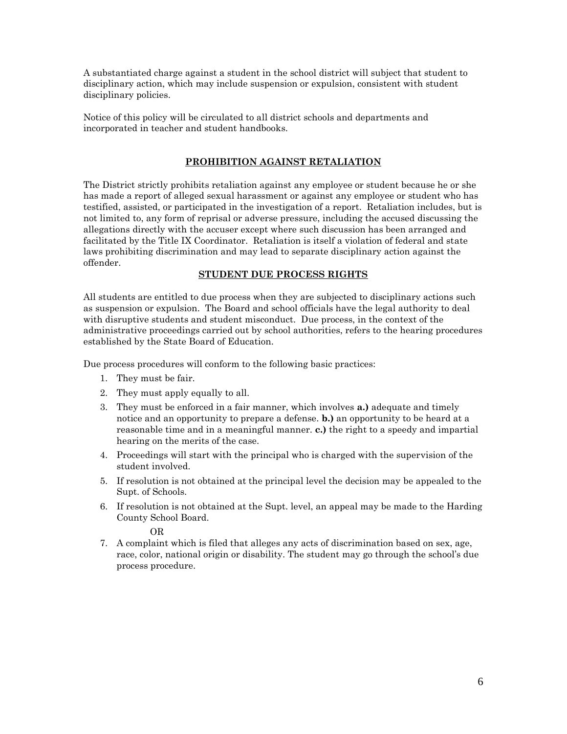A substantiated charge against a student in the school district will subject that student to disciplinary action, which may include suspension or expulsion, consistent with student disciplinary policies.

Notice of this policy will be circulated to all district schools and departments and incorporated in teacher and student handbooks.

# **PROHIBITION AGAINST RETALIATION**

The District strictly prohibits retaliation against any employee or student because he or she has made a report of alleged sexual harassment or against any employee or student who has testified, assisted, or participated in the investigation of a report. Retaliation includes, but is not limited to, any form of reprisal or adverse pressure, including the accused discussing the allegations directly with the accuser except where such discussion has been arranged and facilitated by the Title IX Coordinator. Retaliation is itself a violation of federal and state laws prohibiting discrimination and may lead to separate disciplinary action against the offender.

### **STUDENT DUE PROCESS RIGHTS**

All students are entitled to due process when they are subjected to disciplinary actions such as suspension or expulsion. The Board and school officials have the legal authority to deal with disruptive students and student misconduct. Due process, in the context of the administrative proceedings carried out by school authorities, refers to the hearing procedures established by the State Board of Education.

Due process procedures will conform to the following basic practices:

- 1. They must be fair.
- 2. They must apply equally to all.
- 3. They must be enforced in a fair manner, which involves **a.)** adequate and timely notice and an opportunity to prepare a defense. **b.)** an opportunity to be heard at a reasonable time and in a meaningful manner. **c.)** the right to a speedy and impartial hearing on the merits of the case.
- 4. Proceedings will start with the principal who is charged with the supervision of the student involved.
- 5. If resolution is not obtained at the principal level the decision may be appealed to the Supt. of Schools.
- 6. If resolution is not obtained at the Supt. level, an appeal may be made to the Harding County School Board.

OR

7. A complaint which is filed that alleges any acts of discrimination based on sex, age, race, color, national origin or disability. The student may go through the school's due process procedure.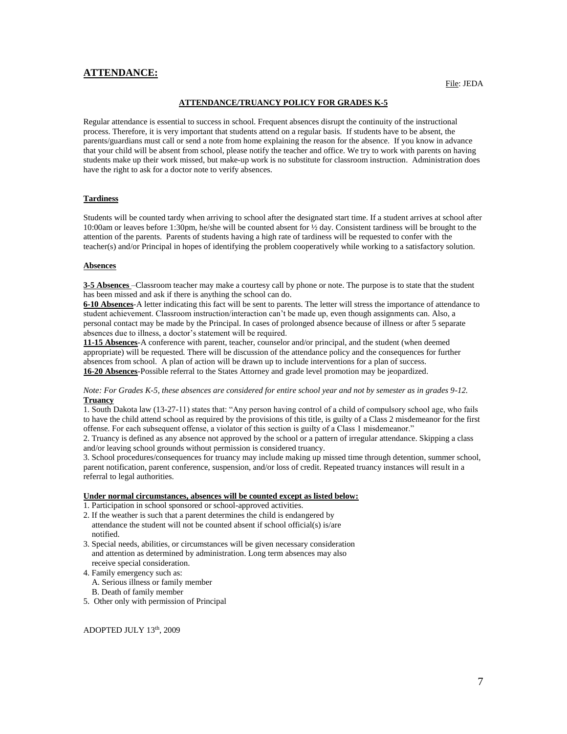#### **ATTENDANCE:**

#### **ATTENDANCE/TRUANCY POLICY FOR GRADES K-5**

Regular attendance is essential to success in school. Frequent absences disrupt the continuity of the instructional process. Therefore, it is very important that students attend on a regular basis. If students have to be absent, the parents/guardians must call or send a note from home explaining the reason for the absence. If you know in advance that your child will be absent from school, please notify the teacher and office. We try to work with parents on having students make up their work missed, but make-up work is no substitute for classroom instruction. Administration does have the right to ask for a doctor note to verify absences.

#### **Tardiness**

Students will be counted tardy when arriving to school after the designated start time. If a student arrives at school after 10:00am or leaves before 1:30pm, he/she will be counted absent for ½ day. Consistent tardiness will be brought to the attention of the parents. Parents of students having a high rate of tardiness will be requested to confer with the teacher(s) and/or Principal in hopes of identifying the problem cooperatively while working to a satisfactory solution.

#### **Absences**

**3-5 Absences** –Classroom teacher may make a courtesy call by phone or note. The purpose is to state that the student has been missed and ask if there is anything the school can do.

**6-10 Absences**-A letter indicating this fact will be sent to parents. The letter will stress the importance of attendance to student achievement. Classroom instruction/interaction can't be made up, even though assignments can. Also, a personal contact may be made by the Principal. In cases of prolonged absence because of illness or after 5 separate absences due to illness, a doctor's statement will be required.

**11-15 Absences**-A conference with parent, teacher, counselor and/or principal, and the student (when deemed appropriate) will be requested. There will be discussion of the attendance policy and the consequences for further absences from school. A plan of action will be drawn up to include interventions for a plan of success. **16-20 Absences**-Possible referral to the States Attorney and grade level promotion may be jeopardized.

#### *Note: For Grades K-5, these absences are considered for entire school year and not by semester as in grades 9-12.*  **Truancy**

1. South Dakota law (13-27-11) states that: "Any person having control of a child of compulsory school age, who fails to have the child attend school as required by the provisions of this title, is guilty of a Class 2 misdemeanor for the first offense. For each subsequent offense, a violator of this section is guilty of a Class 1 misdemeanor."

2. Truancy is defined as any absence not approved by the school or a pattern of irregular attendance. Skipping a class and/or leaving school grounds without permission is considered truancy.

3. School procedures/consequences for truancy may include making up missed time through detention, summer school, parent notification, parent conference, suspension, and/or loss of credit. Repeated truancy instances will result in a referral to legal authorities.

#### **Under normal circumstances, absences will be counted except as listed below:**

1. Participation in school sponsored or school-approved activities.

- 2. If the weather is such that a parent determines the child is endangered by attendance the student will not be counted absent if school official(s) is/are notified.
- 3. Special needs, abilities, or circumstances will be given necessary consideration and attention as determined by administration. Long term absences may also receive special consideration.
- 4. Family emergency such as: A. Serious illness or family member B. Death of family member
- 5. Other only with permission of Principal

ADOPTED JULY 13th, 2009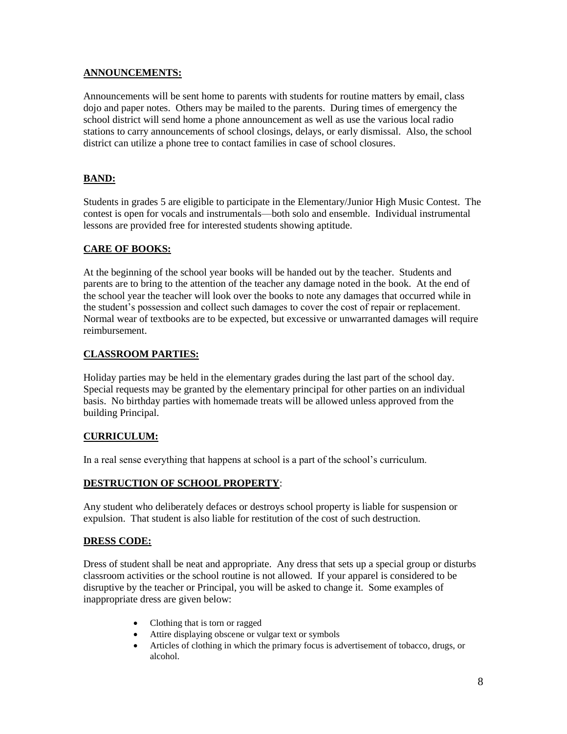# **ANNOUNCEMENTS:**

Announcements will be sent home to parents with students for routine matters by email, class dojo and paper notes. Others may be mailed to the parents. During times of emergency the school district will send home a phone announcement as well as use the various local radio stations to carry announcements of school closings, delays, or early dismissal. Also, the school district can utilize a phone tree to contact families in case of school closures.

# **BAND:**

Students in grades 5 are eligible to participate in the Elementary/Junior High Music Contest. The contest is open for vocals and instrumentals—both solo and ensemble. Individual instrumental lessons are provided free for interested students showing aptitude.

# **CARE OF BOOKS:**

At the beginning of the school year books will be handed out by the teacher. Students and parents are to bring to the attention of the teacher any damage noted in the book. At the end of the school year the teacher will look over the books to note any damages that occurred while in the student's possession and collect such damages to cover the cost of repair or replacement. Normal wear of textbooks are to be expected, but excessive or unwarranted damages will require reimbursement.

# **CLASSROOM PARTIES:**

Holiday parties may be held in the elementary grades during the last part of the school day. Special requests may be granted by the elementary principal for other parties on an individual basis. No birthday parties with homemade treats will be allowed unless approved from the building Principal.

# **CURRICULUM:**

In a real sense everything that happens at school is a part of the school's curriculum.

# **DESTRUCTION OF SCHOOL PROPERTY**:

Any student who deliberately defaces or destroys school property is liable for suspension or expulsion. That student is also liable for restitution of the cost of such destruction.

# **DRESS CODE:**

Dress of student shall be neat and appropriate. Any dress that sets up a special group or disturbs classroom activities or the school routine is not allowed. If your apparel is considered to be disruptive by the teacher or Principal, you will be asked to change it. Some examples of inappropriate dress are given below:

- Clothing that is torn or ragged
- Attire displaying obscene or vulgar text or symbols
- Articles of clothing in which the primary focus is advertisement of tobacco, drugs, or alcohol.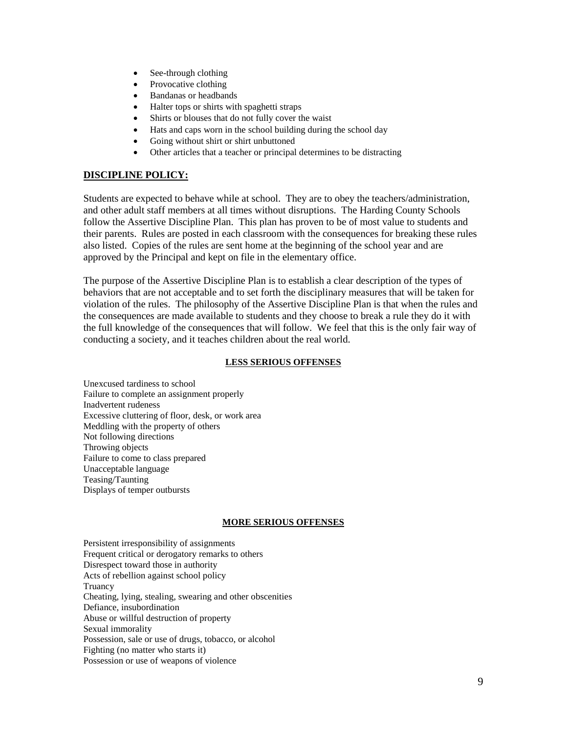- See-through clothing
- Provocative clothing
- Bandanas or headbands
- Halter tops or shirts with spaghetti straps
- Shirts or blouses that do not fully cover the waist
- Hats and caps worn in the school building during the school day
- Going without shirt or shirt unbuttoned
- Other articles that a teacher or principal determines to be distracting

# **DISCIPLINE POLICY:**

Students are expected to behave while at school. They are to obey the teachers/administration, and other adult staff members at all times without disruptions. The Harding County Schools follow the Assertive Discipline Plan. This plan has proven to be of most value to students and their parents. Rules are posted in each classroom with the consequences for breaking these rules also listed. Copies of the rules are sent home at the beginning of the school year and are approved by the Principal and kept on file in the elementary office.

The purpose of the Assertive Discipline Plan is to establish a clear description of the types of behaviors that are not acceptable and to set forth the disciplinary measures that will be taken for violation of the rules. The philosophy of the Assertive Discipline Plan is that when the rules and the consequences are made available to students and they choose to break a rule they do it with the full knowledge of the consequences that will follow. We feel that this is the only fair way of conducting a society, and it teaches children about the real world.

### **LESS SERIOUS OFFENSES**

Unexcused tardiness to school Failure to complete an assignment properly Inadvertent rudeness Excessive cluttering of floor, desk, or work area Meddling with the property of others Not following directions Throwing objects Failure to come to class prepared Unacceptable language Teasing/Taunting Displays of temper outbursts

# **MORE SERIOUS OFFENSES**

Persistent irresponsibility of assignments Frequent critical or derogatory remarks to others Disrespect toward those in authority Acts of rebellion against school policy Truancy Cheating, lying, stealing, swearing and other obscenities Defiance, insubordination Abuse or willful destruction of property Sexual immorality Possession, sale or use of drugs, tobacco, or alcohol Fighting (no matter who starts it) Possession or use of weapons of violence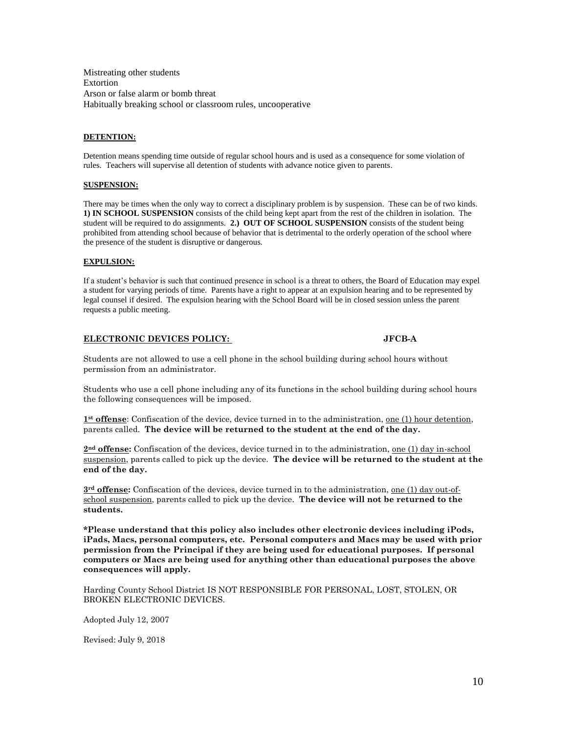Mistreating other students Extortion Arson or false alarm or bomb threat Habitually breaking school or classroom rules, uncooperative

#### **DETENTION:**

Detention means spending time outside of regular school hours and is used as a consequence for some violation of rules. Teachers will supervise all detention of students with advance notice given to parents.

#### **SUSPENSION:**

There may be times when the only way to correct a disciplinary problem is by suspension. These can be of two kinds. **1) IN SCHOOL SUSPENSION** consists of the child being kept apart from the rest of the children in isolation. The student will be required to do assignments. **2.) OUT OF SCHOOL SUSPENSION** consists of the student being prohibited from attending school because of behavior that is detrimental to the orderly operation of the school where the presence of the student is disruptive or dangerous.

#### **EXPULSION:**

If a student's behavior is such that continued presence in school is a threat to others, the Board of Education may expel a student for varying periods of time. Parents have a right to appear at an expulsion hearing and to be represented by legal counsel if desired. The expulsion hearing with the School Board will be in closed session unless the parent requests a public meeting.

#### **ELECTRONIC DEVICES POLICY: JFCB-A**

Students are not allowed to use a cell phone in the school building during school hours without permission from an administrator.

Students who use a cell phone including any of its functions in the school building during school hours the following consequences will be imposed.

**1st offense**: Confiscation of the device, device turned in to the administration, one (1) hour detention, parents called. **The device will be returned to the student at the end of the day.**

**2nd offense:** Confiscation of the devices, device turned in to the administration, one (1) day in-school suspension, parents called to pick up the device. **The device will be returned to the student at the end of the day.**

**3rd offense:** Confiscation of the devices, device turned in to the administration, one (1) day out-ofschool suspension, parents called to pick up the device. **The device will not be returned to the students.**

**\*Please understand that this policy also includes other electronic devices including iPods, iPads, Macs, personal computers, etc. Personal computers and Macs may be used with prior permission from the Principal if they are being used for educational purposes. If personal computers or Macs are being used for anything other than educational purposes the above consequences will apply.**

Harding County School District IS NOT RESPONSIBLE FOR PERSONAL, LOST, STOLEN, OR BROKEN ELECTRONIC DEVICES.

Adopted July 12, 2007

Revised: July 9, 2018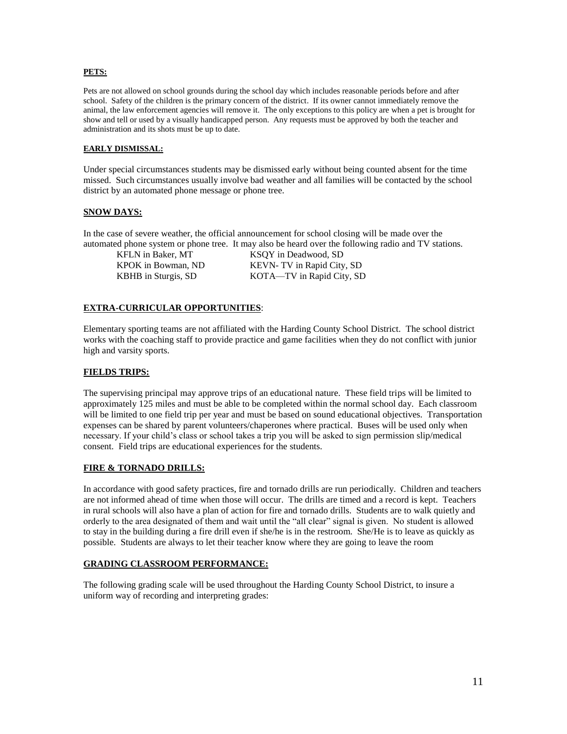#### **PETS:**

Pets are not allowed on school grounds during the school day which includes reasonable periods before and after school. Safety of the children is the primary concern of the district. If its owner cannot immediately remove the animal, the law enforcement agencies will remove it. The only exceptions to this policy are when a pet is brought for show and tell or used by a visually handicapped person. Any requests must be approved by both the teacher and administration and its shots must be up to date.

#### **EARLY DISMISSAL:**

Under special circumstances students may be dismissed early without being counted absent for the time missed. Such circumstances usually involve bad weather and all families will be contacted by the school district by an automated phone message or phone tree.

#### **SNOW DAYS:**

In the case of severe weather, the official announcement for school closing will be made over the automated phone system or phone tree. It may also be heard over the following radio and TV stations.

KFLN in Baker, MT KSOY in Deadwood, SD KPOK in Bowman, ND KEVN- TV in Rapid City, SD KBHB in Sturgis, SD KOTA-TV in Rapid City, SD

#### **EXTRA-CURRICULAR OPPORTUNITIES**:

Elementary sporting teams are not affiliated with the Harding County School District. The school district works with the coaching staff to provide practice and game facilities when they do not conflict with junior high and varsity sports.

#### **FIELDS TRIPS:**

The supervising principal may approve trips of an educational nature. These field trips will be limited to approximately 125 miles and must be able to be completed within the normal school day. Each classroom will be limited to one field trip per year and must be based on sound educational objectives. Transportation expenses can be shared by parent volunteers/chaperones where practical. Buses will be used only when necessary. If your child's class or school takes a trip you will be asked to sign permission slip/medical consent. Field trips are educational experiences for the students.

#### **FIRE & TORNADO DRILLS:**

In accordance with good safety practices, fire and tornado drills are run periodically. Children and teachers are not informed ahead of time when those will occur. The drills are timed and a record is kept. Teachers in rural schools will also have a plan of action for fire and tornado drills. Students are to walk quietly and orderly to the area designated of them and wait until the "all clear" signal is given. No student is allowed to stay in the building during a fire drill even if she/he is in the restroom. She/He is to leave as quickly as possible. Students are always to let their teacher know where they are going to leave the room

#### **GRADING CLASSROOM PERFORMANCE:**

The following grading scale will be used throughout the Harding County School District, to insure a uniform way of recording and interpreting grades: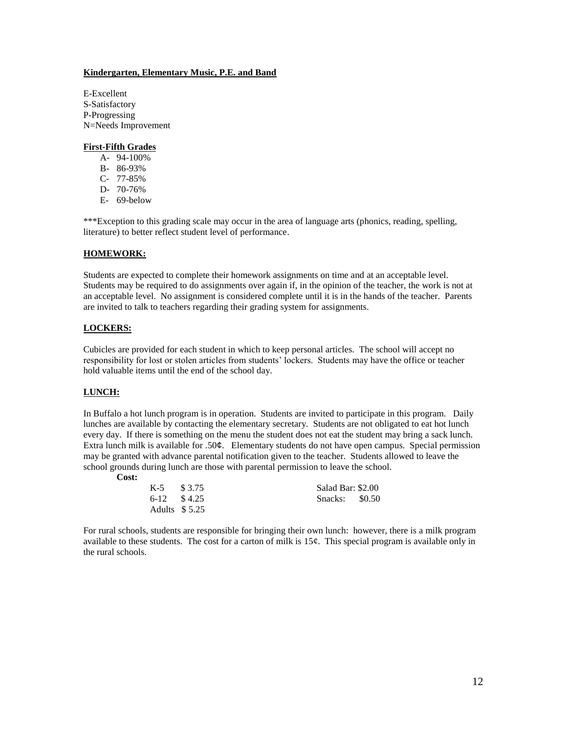#### **Kindergarten, Elementary Music, P.E. and Band**

E-Excellent S-Satisfactory P-Progressing N=Needs Improvement

#### **First-Fifth Grades**

- A- 94-100%
- B- 86-93%
- C- 77-85%
- D- 70-76%
- E- 69-below

\*\*\*Exception to this grading scale may occur in the area of language arts (phonics, reading, spelling, literature) to better reflect student level of performance.

#### **HOMEWORK:**

Students are expected to complete their homework assignments on time and at an acceptable level. Students may be required to do assignments over again if, in the opinion of the teacher, the work is not at an acceptable level. No assignment is considered complete until it is in the hands of the teacher. Parents are invited to talk to teachers regarding their grading system for assignments.

#### **LOCKERS:**

Cubicles are provided for each student in which to keep personal articles. The school will accept no responsibility for lost or stolen articles from students' lockers. Students may have the office or teacher hold valuable items until the end of the school day.

#### **LUNCH:**

In Buffalo a hot lunch program is in operation. Students are invited to participate in this program. Daily lunches are available by contacting the elementary secretary. Students are not obligated to eat hot lunch every day. If there is something on the menu the student does not eat the student may bring a sack lunch. Extra lunch milk is available for .50¢. Elementary students do not have open campus. Special permission may be granted with advance parental notification given to the teacher. Students allowed to leave the school grounds during lunch are those with parental permission to leave the school.

**Cost:**

| $K-5$ \$3.75 |                |                | Salad Bar: \$2.00 |  |  |
|--------------|----------------|----------------|-------------------|--|--|
|              | $6-12$ \$4.25  | Snacks: \$0.50 |                   |  |  |
|              | Adults $$5.25$ |                |                   |  |  |

For rural schools, students are responsible for bringing their own lunch: however, there is a milk program available to these students. The cost for a carton of milk is  $15¢$ . This special program is available only in the rural schools.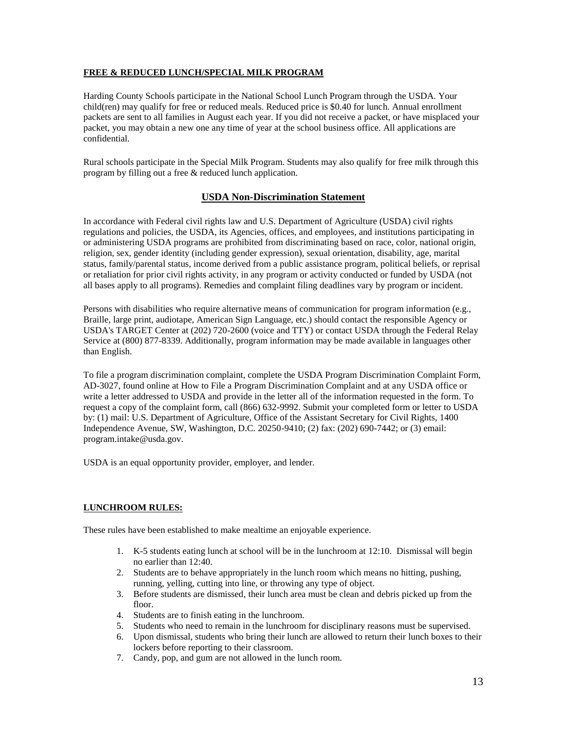#### **FREE & REDUCED LUNCH/SPECIAL MILK PROGRAM**

Harding County Schools participate in the National School Lunch Program through the USDA. Your child(ren) may qualify for free or reduced meals. Reduced price is \$0.40 for lunch. Annual enrollment packets are sent to all families in August each year. If you did not receive a packet, or have misplaced your packet, you may obtain a new one any time of year at the school business office. All applications are confidential.

Rural schools participate in the Special Milk Program. Students may also qualify for free milk through this program by filling out a free & reduced lunch application.

#### **USDA Non-Discrimination Statement**

In accordance with Federal civil rights law and U.S. Department of Agriculture (USDA) civil rights regulations and policies, the USDA, its Agencies, offices, and employees, and institutions participating in or administering USDA programs are prohibited from discriminating based on race, color, national origin, religion, sex, gender identity (including gender expression), sexual orientation, disability, age, marital status, family/parental status, income derived from a public assistance program, political beliefs, or reprisal or retaliation for prior civil rights activity, in any program or activity conducted or funded by USDA (not all bases apply to all programs). Remedies and complaint filing deadlines vary by program or incident.

Persons with disabilities who require alternative means of communication for program information (e.g., Braille, large print, audiotape, American Sign Language, etc.) should contact the responsible Agency or USDA's TARGET Center at (202) 720-2600 (voice and TTY) or contact USDA through the Federal Relay Service at (800) 877-8339. Additionally, program information may be made available in languages other than English.

To file a program discrimination complaint, complete the USDA Program Discrimination Complaint Form, AD-3027, found online at How to File a Program Discrimination Complaint and at any USDA office or write a letter addressed to USDA and provide in the letter all of the information requested in the form. To request a copy of the complaint form, call (866) 632-9992. Submit your completed form or letter to USDA by: (1) mail: U.S. Department of Agriculture, Office of the Assistant Secretary for Civil Rights, 1400 Independence Avenue, SW, Washington, D.C. 20250-9410; (2) fax: (202) 690-7442; or (3) email: program.intake@usda.gov.

USDA is an equal opportunity provider, employer, and lender.

#### **LUNCHROOM RULES:**

These rules have been established to make mealtime an enjoyable experience.

- 1. K-5 students eating lunch at school will be in the lunchroom at 12:10. Dismissal will begin no earlier than 12:40.
- 2. Students are to behave appropriately in the lunch room which means no hitting, pushing, running, yelling, cutting into line, or throwing any type of object.
- 3. Before students are dismissed, their lunch area must be clean and debris picked up from the floor.
- 4. Students are to finish eating in the lunchroom.
- 5. Students who need to remain in the lunchroom for disciplinary reasons must be supervised.
- 6. Upon dismissal, students who bring their lunch are allowed to return their lunch boxes to their lockers before reporting to their classroom.
- 7. Candy, pop, and gum are not allowed in the lunch room.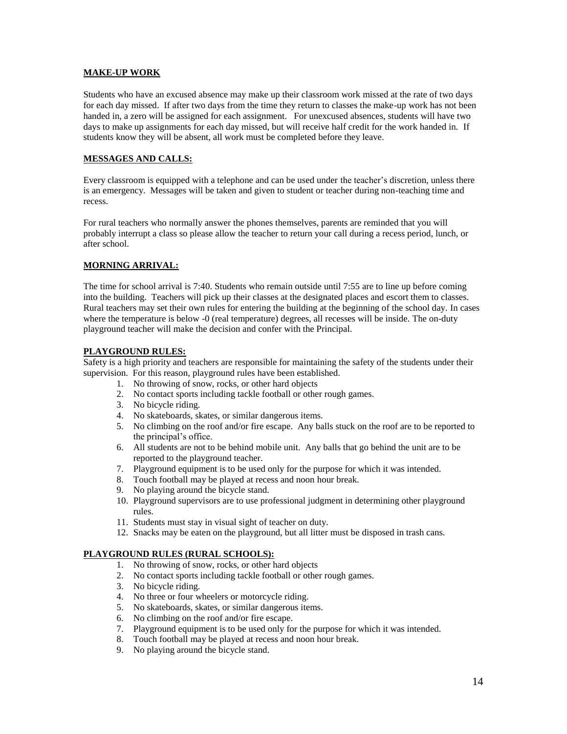#### **MAKE-UP WORK**

Students who have an excused absence may make up their classroom work missed at the rate of two days for each day missed. If after two days from the time they return to classes the make-up work has not been handed in, a zero will be assigned for each assignment. For unexcused absences, students will have two days to make up assignments for each day missed, but will receive half credit for the work handed in. If students know they will be absent, all work must be completed before they leave.

#### **MESSAGES AND CALLS:**

Every classroom is equipped with a telephone and can be used under the teacher's discretion, unless there is an emergency. Messages will be taken and given to student or teacher during non-teaching time and recess.

For rural teachers who normally answer the phones themselves, parents are reminded that you will probably interrupt a class so please allow the teacher to return your call during a recess period, lunch, or after school.

#### **MORNING ARRIVAL:**

The time for school arrival is 7:40. Students who remain outside until 7:55 are to line up before coming into the building. Teachers will pick up their classes at the designated places and escort them to classes. Rural teachers may set their own rules for entering the building at the beginning of the school day. In cases where the temperature is below -0 (real temperature) degrees, all recesses will be inside. The on-duty playground teacher will make the decision and confer with the Principal.

#### **PLAYGROUND RULES:**

Safety is a high priority and teachers are responsible for maintaining the safety of the students under their supervision. For this reason, playground rules have been established.

- 1. No throwing of snow, rocks, or other hard objects
- 2. No contact sports including tackle football or other rough games.
- 3. No bicycle riding.
- 4. No skateboards, skates, or similar dangerous items.
- 5. No climbing on the roof and/or fire escape. Any balls stuck on the roof are to be reported to the principal's office.
- 6. All students are not to be behind mobile unit. Any balls that go behind the unit are to be reported to the playground teacher.
- 7. Playground equipment is to be used only for the purpose for which it was intended.
- 8. Touch football may be played at recess and noon hour break.
- 9. No playing around the bicycle stand.
- 10. Playground supervisors are to use professional judgment in determining other playground rules.
- 11. Students must stay in visual sight of teacher on duty.
- 12. Snacks may be eaten on the playground, but all litter must be disposed in trash cans.

#### **PLAYGROUND RULES (RURAL SCHOOLS):**

- 1. No throwing of snow, rocks, or other hard objects
- 2. No contact sports including tackle football or other rough games.
- 3. No bicycle riding.
- 4. No three or four wheelers or motorcycle riding.
- 5. No skateboards, skates, or similar dangerous items.
- 6. No climbing on the roof and/or fire escape.
- 7. Playground equipment is to be used only for the purpose for which it was intended.
- 8. Touch football may be played at recess and noon hour break.
- 9. No playing around the bicycle stand.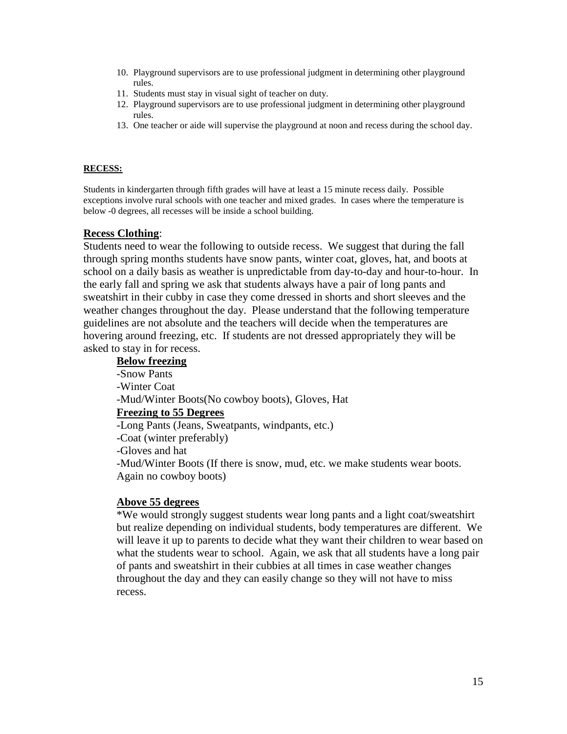- 10. Playground supervisors are to use professional judgment in determining other playground rules.
- 11. Students must stay in visual sight of teacher on duty.
- 12. Playground supervisors are to use professional judgment in determining other playground rules.
- 13. One teacher or aide will supervise the playground at noon and recess during the school day.

#### **RECESS:**

Students in kindergarten through fifth grades will have at least a 15 minute recess daily. Possible exceptions involve rural schools with one teacher and mixed grades. In cases where the temperature is below -0 degrees, all recesses will be inside a school building.

### **Recess Clothing**:

Students need to wear the following to outside recess. We suggest that during the fall through spring months students have snow pants, winter coat, gloves, hat, and boots at school on a daily basis as weather is unpredictable from day-to-day and hour-to-hour. In the early fall and spring we ask that students always have a pair of long pants and sweatshirt in their cubby in case they come dressed in shorts and short sleeves and the weather changes throughout the day. Please understand that the following temperature guidelines are not absolute and the teachers will decide when the temperatures are hovering around freezing, etc. If students are not dressed appropriately they will be asked to stay in for recess.

# **Below freezing**  -Snow Pants -Winter Coat -Mud/Winter Boots(No cowboy boots), Gloves, Hat **Freezing to 55 Degrees** -Long Pants (Jeans, Sweatpants, windpants, etc.) -Coat (winter preferably) -Gloves and hat -Mud/Winter Boots (If there is snow, mud, etc. we make students wear boots. Again no cowboy boots)

# **Above 55 degrees**

\*We would strongly suggest students wear long pants and a light coat/sweatshirt but realize depending on individual students, body temperatures are different. We will leave it up to parents to decide what they want their children to wear based on what the students wear to school. Again, we ask that all students have a long pair of pants and sweatshirt in their cubbies at all times in case weather changes throughout the day and they can easily change so they will not have to miss recess.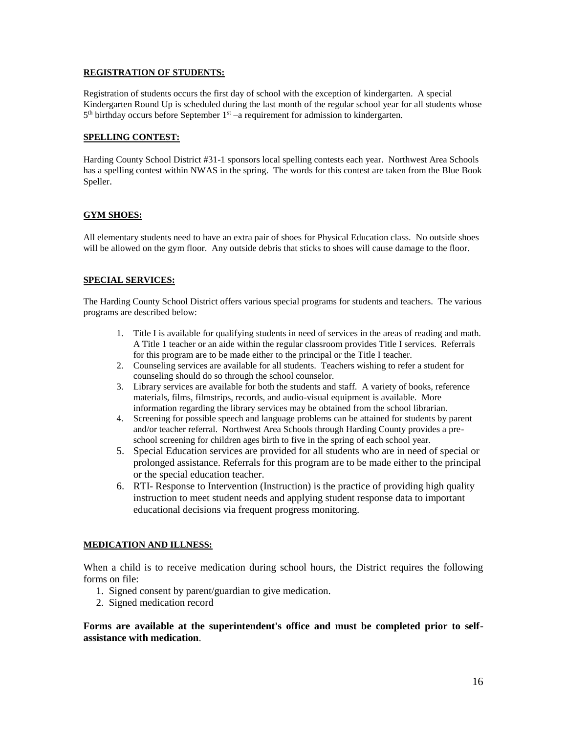#### **REGISTRATION OF STUDENTS:**

Registration of students occurs the first day of school with the exception of kindergarten. A special Kindergarten Round Up is scheduled during the last month of the regular school year for all students whose  $5<sup>th</sup>$  birthday occurs before September  $1<sup>st</sup>$  –a requirement for admission to kindergarten.

#### **SPELLING CONTEST:**

Harding County School District #31-1 sponsors local spelling contests each year. Northwest Area Schools has a spelling contest within NWAS in the spring. The words for this contest are taken from the Blue Book Speller.

#### **GYM SHOES:**

All elementary students need to have an extra pair of shoes for Physical Education class. No outside shoes will be allowed on the gym floor. Any outside debris that sticks to shoes will cause damage to the floor.

#### **SPECIAL SERVICES:**

The Harding County School District offers various special programs for students and teachers. The various programs are described below:

- 1. Title I is available for qualifying students in need of services in the areas of reading and math. A Title 1 teacher or an aide within the regular classroom provides Title I services. Referrals for this program are to be made either to the principal or the Title I teacher.
- 2. Counseling services are available for all students. Teachers wishing to refer a student for counseling should do so through the school counselor.
- 3. Library services are available for both the students and staff. A variety of books, reference materials, films, filmstrips, records, and audio-visual equipment is available. More information regarding the library services may be obtained from the school librarian.
- 4. Screening for possible speech and language problems can be attained for students by parent and/or teacher referral. Northwest Area Schools through Harding County provides a preschool screening for children ages birth to five in the spring of each school year.
- 5. Special Education services are provided for all students who are in need of special or prolonged assistance. Referrals for this program are to be made either to the principal or the special education teacher.
- 6. RTI- Response to Intervention (Instruction) is the practice of providing high quality instruction to meet student needs and applying student response data to important educational decisions via frequent progress monitoring.

#### **MEDICATION AND ILLNESS:**

When a child is to receive medication during school hours, the District requires the following forms on file:

- 1. Signed consent by parent/guardian to give medication.
- 2. Signed medication record

### **Forms are available at the superintendent's office and must be completed prior to selfassistance with medication**.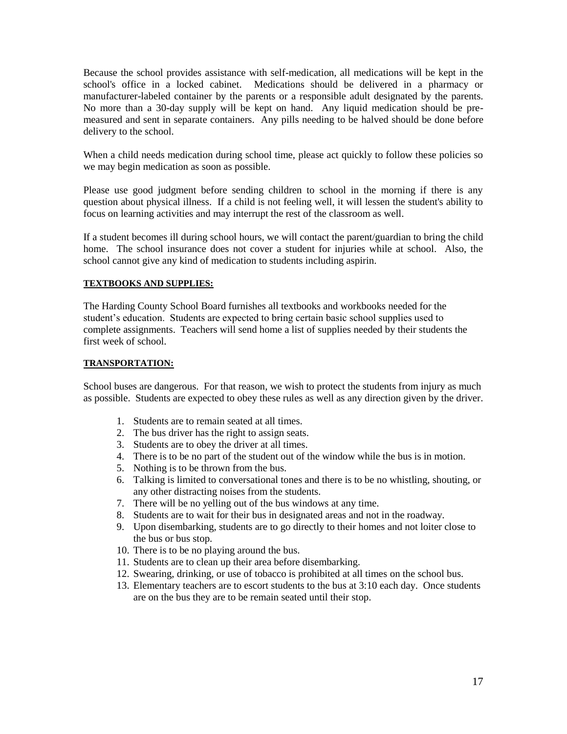Because the school provides assistance with self-medication, all medications will be kept in the school's office in a locked cabinet. Medications should be delivered in a pharmacy or manufacturer-labeled container by the parents or a responsible adult designated by the parents. No more than a 30-day supply will be kept on hand. Any liquid medication should be premeasured and sent in separate containers. Any pills needing to be halved should be done before delivery to the school.

When a child needs medication during school time, please act quickly to follow these policies so we may begin medication as soon as possible.

Please use good judgment before sending children to school in the morning if there is any question about physical illness. If a child is not feeling well, it will lessen the student's ability to focus on learning activities and may interrupt the rest of the classroom as well.

If a student becomes ill during school hours, we will contact the parent/guardian to bring the child home. The school insurance does not cover a student for injuries while at school. Also, the school cannot give any kind of medication to students including aspirin.

### **TEXTBOOKS AND SUPPLIES:**

The Harding County School Board furnishes all textbooks and workbooks needed for the student's education. Students are expected to bring certain basic school supplies used to complete assignments. Teachers will send home a list of supplies needed by their students the first week of school.

#### **TRANSPORTATION:**

School buses are dangerous. For that reason, we wish to protect the students from injury as much as possible. Students are expected to obey these rules as well as any direction given by the driver.

- 1. Students are to remain seated at all times.
- 2. The bus driver has the right to assign seats.
- 3. Students are to obey the driver at all times.
- 4. There is to be no part of the student out of the window while the bus is in motion.
- 5. Nothing is to be thrown from the bus.
- 6. Talking is limited to conversational tones and there is to be no whistling, shouting, or any other distracting noises from the students.
- 7. There will be no yelling out of the bus windows at any time.
- 8. Students are to wait for their bus in designated areas and not in the roadway.
- 9. Upon disembarking, students are to go directly to their homes and not loiter close to the bus or bus stop.
- 10. There is to be no playing around the bus.
- 11. Students are to clean up their area before disembarking.
- 12. Swearing, drinking, or use of tobacco is prohibited at all times on the school bus.
- 13. Elementary teachers are to escort students to the bus at 3:10 each day. Once students are on the bus they are to be remain seated until their stop.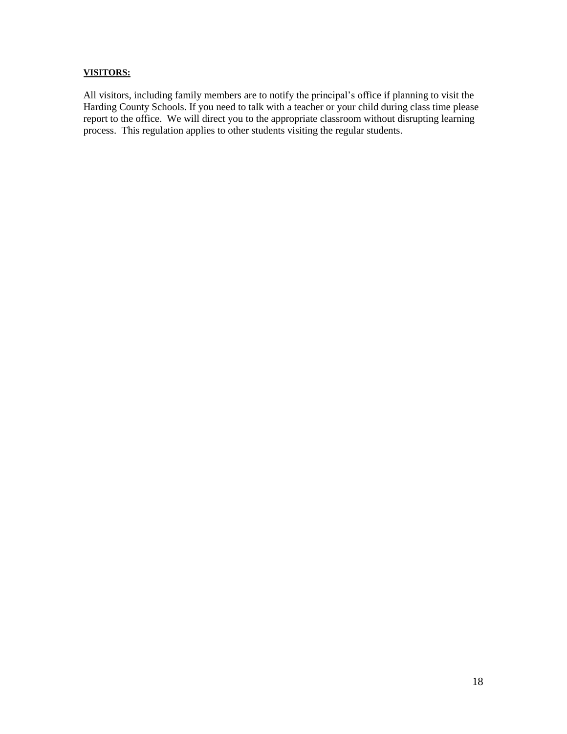### **VISITORS:**

All visitors, including family members are to notify the principal's office if planning to visit the Harding County Schools. If you need to talk with a teacher or your child during class time please report to the office. We will direct you to the appropriate classroom without disrupting learning process. This regulation applies to other students visiting the regular students.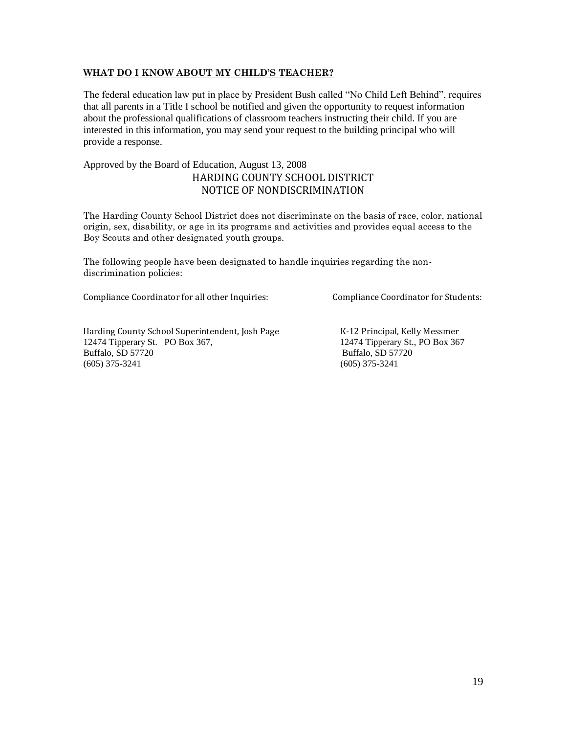# **WHAT DO I KNOW ABOUT MY CHILD'S TEACHER?**

The federal education law put in place by President Bush called "No Child Left Behind", requires that all parents in a Title I school be notified and given the opportunity to request information about the professional qualifications of classroom teachers instructing their child. If you are interested in this information, you may send your request to the building principal who will provide a response.

# Approved by the Board of Education, August 13, 2008 HARDING COUNTY SCHOOL DISTRICT NOTICE OF NONDISCRIMINATION

The Harding County School District does not discriminate on the basis of race, color, national origin, sex, disability, or age in its programs and activities and provides equal access to the Boy Scouts and other designated youth groups.

The following people have been designated to handle inquiries regarding the nondiscrimination policies:

Compliance Coordinator for all other Inquiries: Compliance Coordinator for Students:

Harding County School Superintendent, Josh Page K-12 Principal, Kelly Messmer 12474 Tipperary St. PO Box 367, 12474 Tipperary St., PO Box 367 Buffalo, SD 57720 Buffalo, SD 57720 (605) 375-3241 (605) 375-3241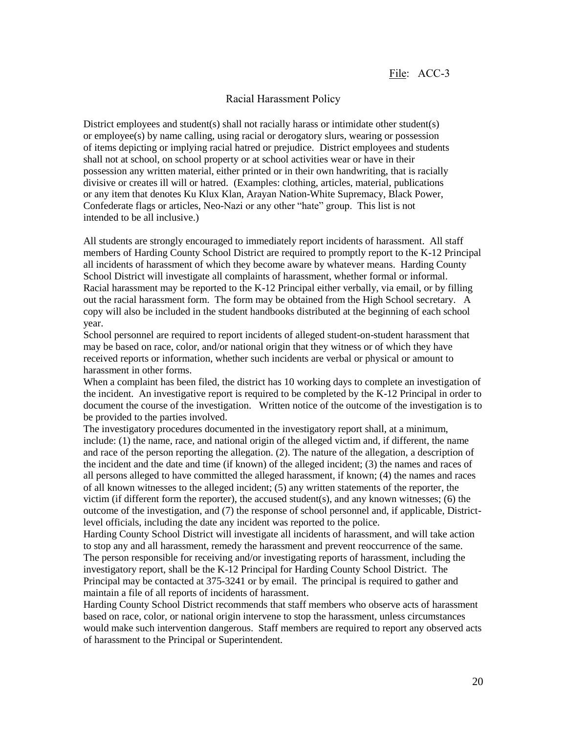#### Racial Harassment Policy

District employees and student(s) shall not racially harass or intimidate other student(s) or employee(s) by name calling, using racial or derogatory slurs, wearing or possession of items depicting or implying racial hatred or prejudice. District employees and students shall not at school, on school property or at school activities wear or have in their possession any written material, either printed or in their own handwriting, that is racially divisive or creates ill will or hatred. (Examples: clothing, articles, material, publications or any item that denotes Ku Klux Klan, Arayan Nation-White Supremacy, Black Power, Confederate flags or articles, Neo-Nazi or any other "hate" group. This list is not intended to be all inclusive.)

All students are strongly encouraged to immediately report incidents of harassment. All staff members of Harding County School District are required to promptly report to the K-12 Principal all incidents of harassment of which they become aware by whatever means. Harding County School District will investigate all complaints of harassment, whether formal or informal. Racial harassment may be reported to the K-12 Principal either verbally, via email, or by filling out the racial harassment form. The form may be obtained from the High School secretary. A copy will also be included in the student handbooks distributed at the beginning of each school year.

School personnel are required to report incidents of alleged student-on-student harassment that may be based on race, color, and/or national origin that they witness or of which they have received reports or information, whether such incidents are verbal or physical or amount to harassment in other forms.

When a complaint has been filed, the district has 10 working days to complete an investigation of the incident. An investigative report is required to be completed by the K-12 Principal in order to document the course of the investigation. Written notice of the outcome of the investigation is to be provided to the parties involved.

The investigatory procedures documented in the investigatory report shall, at a minimum, include: (1) the name, race, and national origin of the alleged victim and, if different, the name and race of the person reporting the allegation. (2). The nature of the allegation, a description of the incident and the date and time (if known) of the alleged incident; (3) the names and races of all persons alleged to have committed the alleged harassment, if known; (4) the names and races of all known witnesses to the alleged incident; (5) any written statements of the reporter, the victim (if different form the reporter), the accused student(s), and any known witnesses; (6) the outcome of the investigation, and (7) the response of school personnel and, if applicable, Districtlevel officials, including the date any incident was reported to the police.

Harding County School District will investigate all incidents of harassment, and will take action to stop any and all harassment, remedy the harassment and prevent reoccurrence of the same. The person responsible for receiving and/or investigating reports of harassment, including the investigatory report, shall be the K-12 Principal for Harding County School District. The Principal may be contacted at 375-3241 or by email. The principal is required to gather and maintain a file of all reports of incidents of harassment.

Harding County School District recommends that staff members who observe acts of harassment based on race, color, or national origin intervene to stop the harassment, unless circumstances would make such intervention dangerous. Staff members are required to report any observed acts of harassment to the Principal or Superintendent.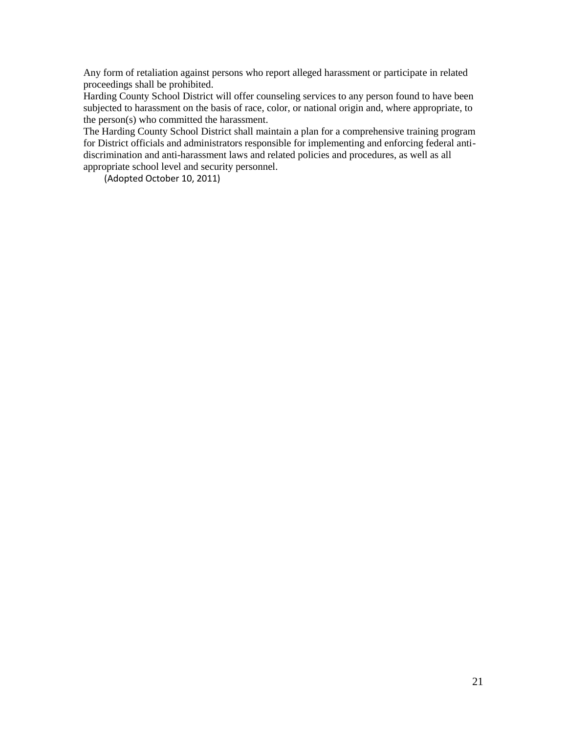Any form of retaliation against persons who report alleged harassment or participate in related proceedings shall be prohibited.

Harding County School District will offer counseling services to any person found to have been subjected to harassment on the basis of race, color, or national origin and, where appropriate, to the person(s) who committed the harassment.

The Harding County School District shall maintain a plan for a comprehensive training program for District officials and administrators responsible for implementing and enforcing federal antidiscrimination and anti-harassment laws and related policies and procedures, as well as all appropriate school level and security personnel.

(Adopted October 10, 2011)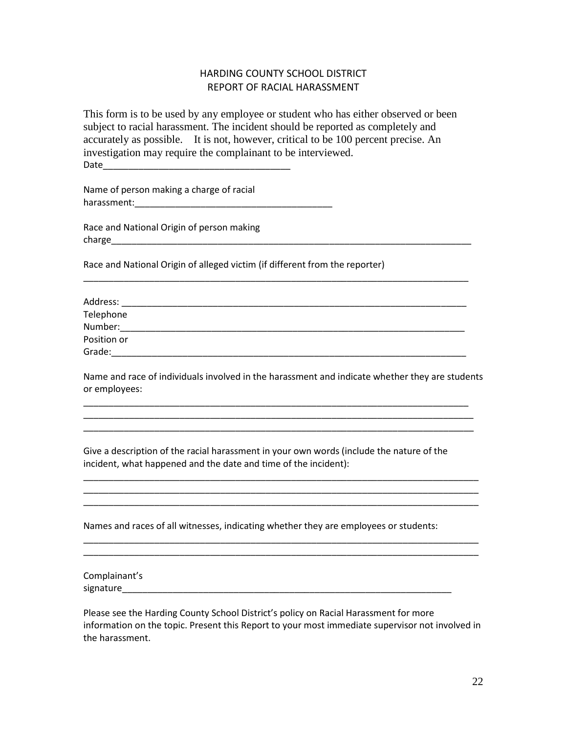# HARDING COUNTY SCHOOL DISTRICT REPORT OF RACIAL HARASSMENT

This form is to be used by any employee or student who has either observed or been subject to racial harassment. The incident should be reported as completely and accurately as possible. It is not, however, critical to be 100 percent precise. An investigation may require the complainant to be interviewed. Date

Name of person making a charge of racial harassment:\_\_\_\_\_\_\_\_\_\_\_\_\_\_\_\_\_\_\_\_\_\_\_\_\_\_\_\_\_\_\_\_\_\_\_\_\_\_\_

Race and National Origin of person making charge\_\_\_\_\_\_\_\_\_\_\_\_\_\_\_\_\_\_\_\_\_\_\_\_\_\_\_\_\_\_\_\_\_\_\_\_\_\_\_\_\_\_\_\_\_\_\_\_\_\_\_\_\_\_\_\_\_\_\_\_\_\_\_\_\_\_\_\_\_\_\_

Race and National Origin of alleged victim (if different from the reporter)

| Address:    |  |  |
|-------------|--|--|
| Telephone   |  |  |
| Number:     |  |  |
| Position or |  |  |
| Grade:      |  |  |

\_\_\_\_\_\_\_\_\_\_\_\_\_\_\_\_\_\_\_\_\_\_\_\_\_\_\_\_\_\_\_\_\_\_\_\_\_\_\_\_\_\_\_\_\_\_\_\_\_\_\_\_\_\_\_\_\_\_\_\_\_\_\_\_\_\_\_\_\_\_\_\_\_\_\_\_

Name and race of individuals involved in the harassment and indicate whether they are students or employees:

\_\_\_\_\_\_\_\_\_\_\_\_\_\_\_\_\_\_\_\_\_\_\_\_\_\_\_\_\_\_\_\_\_\_\_\_\_\_\_\_\_\_\_\_\_\_\_\_\_\_\_\_\_\_\_\_\_\_\_\_\_\_\_\_\_\_\_\_\_\_\_\_\_\_\_\_ \_\_\_\_\_\_\_\_\_\_\_\_\_\_\_\_\_\_\_\_\_\_\_\_\_\_\_\_\_\_\_\_\_\_\_\_\_\_\_\_\_\_\_\_\_\_\_\_\_\_\_\_\_\_\_\_\_\_\_\_\_\_\_\_\_\_\_\_\_\_\_\_\_\_\_\_\_ \_\_\_\_\_\_\_\_\_\_\_\_\_\_\_\_\_\_\_\_\_\_\_\_\_\_\_\_\_\_\_\_\_\_\_\_\_\_\_\_\_\_\_\_\_\_\_\_\_\_\_\_\_\_\_\_\_\_\_\_\_\_\_\_\_\_\_\_\_\_\_\_\_\_\_\_\_

Give a description of the racial harassment in your own words (include the nature of the incident, what happened and the date and time of the incident):

\_\_\_\_\_\_\_\_\_\_\_\_\_\_\_\_\_\_\_\_\_\_\_\_\_\_\_\_\_\_\_\_\_\_\_\_\_\_\_\_\_\_\_\_\_\_\_\_\_\_\_\_\_\_\_\_\_\_\_\_\_\_\_\_\_\_\_\_\_\_\_\_\_\_\_\_\_\_ \_\_\_\_\_\_\_\_\_\_\_\_\_\_\_\_\_\_\_\_\_\_\_\_\_\_\_\_\_\_\_\_\_\_\_\_\_\_\_\_\_\_\_\_\_\_\_\_\_\_\_\_\_\_\_\_\_\_\_\_\_\_\_\_\_\_\_\_\_\_\_\_\_\_\_\_\_\_ \_\_\_\_\_\_\_\_\_\_\_\_\_\_\_\_\_\_\_\_\_\_\_\_\_\_\_\_\_\_\_\_\_\_\_\_\_\_\_\_\_\_\_\_\_\_\_\_\_\_\_\_\_\_\_\_\_\_\_\_\_\_\_\_\_\_\_\_\_\_\_\_\_\_\_\_\_\_

\_\_\_\_\_\_\_\_\_\_\_\_\_\_\_\_\_\_\_\_\_\_\_\_\_\_\_\_\_\_\_\_\_\_\_\_\_\_\_\_\_\_\_\_\_\_\_\_\_\_\_\_\_\_\_\_\_\_\_\_\_\_\_\_\_\_\_\_\_\_\_\_\_\_\_\_\_\_ \_\_\_\_\_\_\_\_\_\_\_\_\_\_\_\_\_\_\_\_\_\_\_\_\_\_\_\_\_\_\_\_\_\_\_\_\_\_\_\_\_\_\_\_\_\_\_\_\_\_\_\_\_\_\_\_\_\_\_\_\_\_\_\_\_\_\_\_\_\_\_\_\_\_\_\_\_\_

Names and races of all witnesses, indicating whether they are employees or students:

Complainant's signature\_\_\_\_\_\_\_\_\_\_\_\_\_\_\_\_\_\_\_\_\_\_\_\_\_\_\_\_\_\_\_\_\_\_\_\_\_\_\_\_\_\_\_\_\_\_\_\_\_\_\_\_\_\_\_\_\_\_\_\_\_\_\_\_\_

Please see the Harding County School District's policy on Racial Harassment for more information on the topic. Present this Report to your most immediate supervisor not involved in the harassment.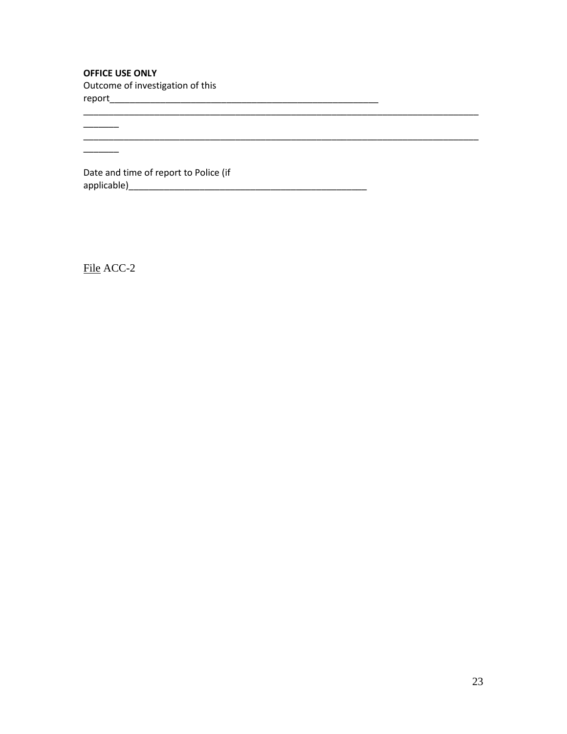# **OFFICE USE ONLY**

 $\overline{\phantom{a}}$ 

 $\frac{1}{1}$ 

Outcome of investigation of this 

Date and time of report to Police (if 

File ACC-2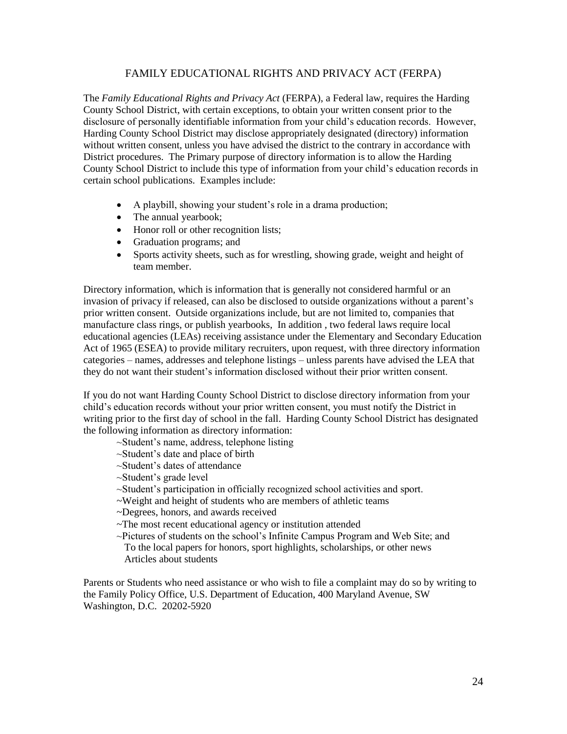# FAMILY EDUCATIONAL RIGHTS AND PRIVACY ACT (FERPA)

The *Family Educational Rights and Privacy Act* (FERPA), a Federal law, requires the Harding County School District, with certain exceptions, to obtain your written consent prior to the disclosure of personally identifiable information from your child's education records. However, Harding County School District may disclose appropriately designated (directory) information without written consent, unless you have advised the district to the contrary in accordance with District procedures. The Primary purpose of directory information is to allow the Harding County School District to include this type of information from your child's education records in certain school publications. Examples include:

- A playbill, showing your student's role in a drama production;
- The annual yearbook;
- Honor roll or other recognition lists;
- Graduation programs; and
- Sports activity sheets, such as for wrestling, showing grade, weight and height of team member.

Directory information, which is information that is generally not considered harmful or an invasion of privacy if released, can also be disclosed to outside organizations without a parent's prior written consent. Outside organizations include, but are not limited to, companies that manufacture class rings, or publish yearbooks, In addition , two federal laws require local educational agencies (LEAs) receiving assistance under the Elementary and Secondary Education Act of 1965 (ESEA) to provide military recruiters, upon request, with three directory information categories – names, addresses and telephone listings – unless parents have advised the LEA that they do not want their student's information disclosed without their prior written consent.

If you do not want Harding County School District to disclose directory information from your child's education records without your prior written consent, you must notify the District in writing prior to the first day of school in the fall. Harding County School District has designated the following information as directory information:

- ~Student's name, address, telephone listing
- ~Student's date and place of birth
- ~Student's dates of attendance
- ~Student's grade level
- ~Student's participation in officially recognized school activities and sport.
- ~Weight and height of students who are members of athletic teams
- ~Degrees, honors, and awards received
- ~The most recent educational agency or institution attended
- ~Pictures of students on the school's Infinite Campus Program and Web Site; and To the local papers for honors, sport highlights, scholarships, or other news Articles about students

Parents or Students who need assistance or who wish to file a complaint may do so by writing to the Family Policy Office, U.S. Department of Education, 400 Maryland Avenue, SW Washington, D.C. 20202-5920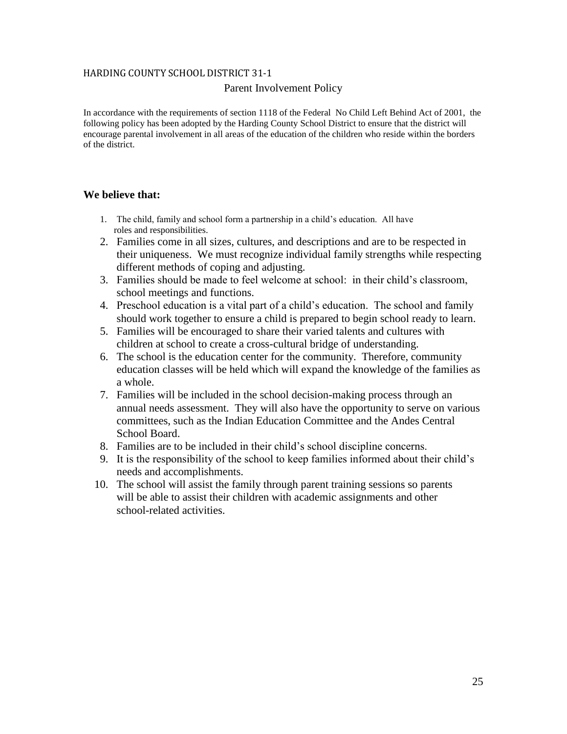### HARDING COUNTY SCHOOL DISTRICT 31-1

### Parent Involvement Policy

In accordance with the requirements of section 1118 of the Federal No Child Left Behind Act of 2001, the following policy has been adopted by the Harding County School District to ensure that the district will encourage parental involvement in all areas of the education of the children who reside within the borders of the district.

# **We believe that:**

- 1. The child, family and school form a partnership in a child's education. All have roles and responsibilities.
- 2. Families come in all sizes, cultures, and descriptions and are to be respected in their uniqueness. We must recognize individual family strengths while respecting different methods of coping and adjusting.
- 3. Families should be made to feel welcome at school: in their child's classroom, school meetings and functions.
- 4. Preschool education is a vital part of a child's education. The school and family should work together to ensure a child is prepared to begin school ready to learn.
- 5. Families will be encouraged to share their varied talents and cultures with children at school to create a cross-cultural bridge of understanding.
- 6. The school is the education center for the community. Therefore, community education classes will be held which will expand the knowledge of the families as a whole.
- 7. Families will be included in the school decision-making process through an annual needs assessment. They will also have the opportunity to serve on various committees, such as the Indian Education Committee and the Andes Central School Board.
- 8. Families are to be included in their child's school discipline concerns.
- 9. It is the responsibility of the school to keep families informed about their child's needs and accomplishments.
- 10. The school will assist the family through parent training sessions so parents will be able to assist their children with academic assignments and other school-related activities.